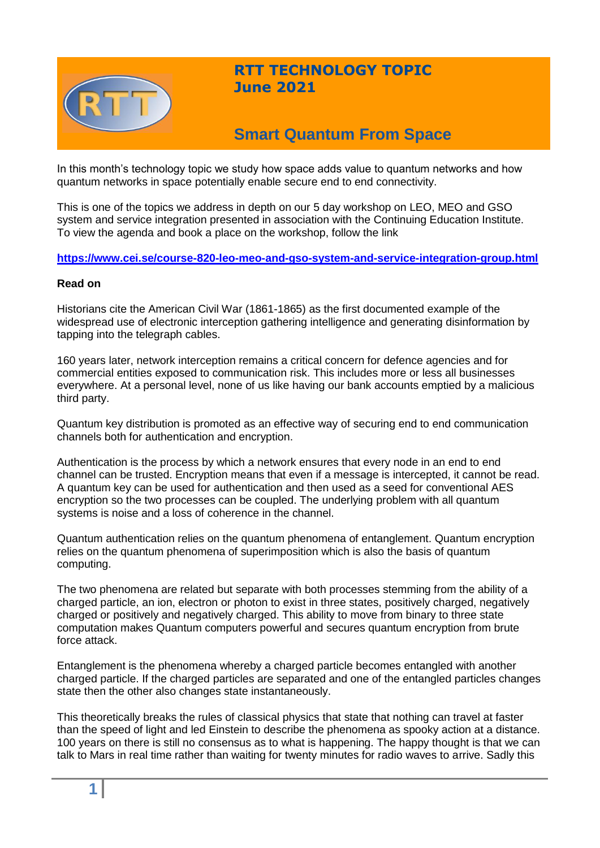

## **RTT TECHNOLOGY TOPIC June 2021**

# **Smart Quantum From Space**

In this month's technology topic we study how space adds value to quantum networks and how quantum networks in space potentially enable secure end to end connectivity.

This is one of the topics we address in depth on our 5 day workshop on LEO, MEO and GSO system and service integration presented in association with the Continuing Education Institute. To view the agenda and book a place on the workshop, follow the link

**<https://www.cei.se/course-820-leo-meo-and-gso-system-and-service-integration-group.html>**

#### **Read on**

Historians cite the American Civil War (1861-1865) as the first documented example of the widespread use of electronic interception gathering intelligence and generating disinformation by tapping into the telegraph cables.

160 years later, network interception remains a critical concern for defence agencies and for commercial entities exposed to communication risk. This includes more or less all businesses everywhere. At a personal level, none of us like having our bank accounts emptied by a malicious third party.

Quantum key distribution is promoted as an effective way of securing end to end communication channels both for authentication and encryption.

Authentication is the process by which a network ensures that every node in an end to end channel can be trusted. Encryption means that even if a message is intercepted, it cannot be read. A quantum key can be used for authentication and then used as a seed for conventional AES encryption so the two processes can be coupled. The underlying problem with all quantum systems is noise and a loss of coherence in the channel.

Quantum authentication relies on the quantum phenomena of entanglement. Quantum encryption relies on the quantum phenomena of superimposition which is also the basis of quantum computing.

The two phenomena are related but separate with both processes stemming from the ability of a charged particle, an ion, electron or photon to exist in three states, positively charged, negatively charged or positively and negatively charged. This ability to move from binary to three state computation makes Quantum computers powerful and secures quantum encryption from brute force attack.

Entanglement is the phenomena whereby a charged particle becomes entangled with another charged particle. If the charged particles are separated and one of the entangled particles changes state then the other also changes state instantaneously.

This theoretically breaks the rules of classical physics that state that nothing can travel at faster than the speed of light and led Einstein to describe the phenomena as spooky action at a distance. 100 years on there is still no consensus as to what is happening. The happy thought is that we can talk to Mars in real time rather than waiting for twenty minutes for radio waves to arrive. Sadly this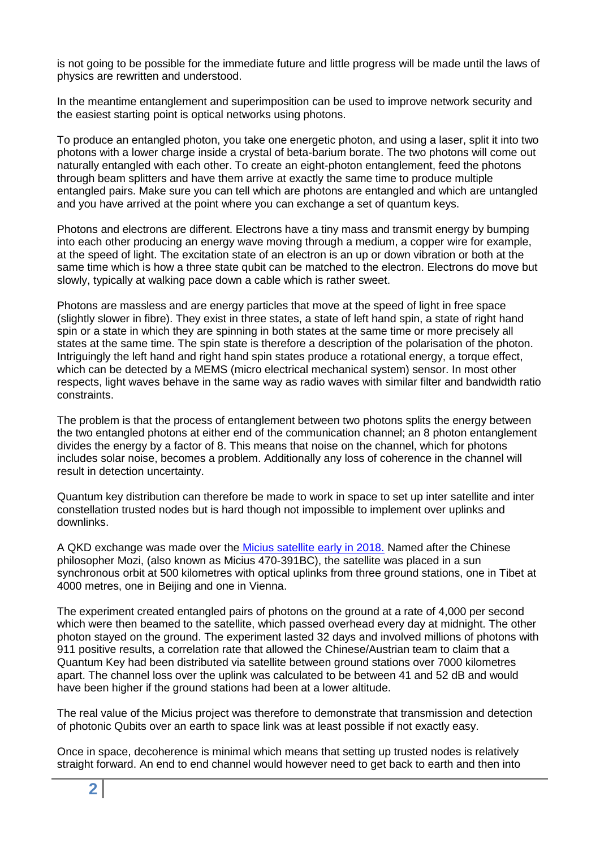is not going to be possible for the immediate future and little progress will be made until the laws of physics are rewritten and understood.

In the meantime entanglement and superimposition can be used to improve network security and the easiest starting point is optical networks using photons.

To produce an entangled photon, you take one energetic photon, and using a laser, split it into two photons with a lower charge inside a crystal of beta-barium borate. The two photons will come out naturally entangled with each other. To create an eight-photon entanglement, feed the photons through beam splitters and have them arrive at exactly the same time to produce multiple entangled pairs. Make sure you can tell which are photons are entangled and which are untangled and you have arrived at the point where you can exchange a set of quantum keys.

Photons and electrons are different. Electrons have a tiny mass and transmit energy by bumping into each other producing an energy wave moving through a medium, a copper wire for example, at the speed of light. The excitation state of an electron is an up or down vibration or both at the same time which is how a three state qubit can be matched to the electron. Electrons do move but slowly, typically at walking pace down a cable which is rather sweet.

Photons are massless and are energy particles that move at the speed of light in free space (slightly slower in fibre). They exist in three states, a state of left hand spin, a state of right hand spin or a state in which they are spinning in both states at the same time or more precisely all states at the same time. The spin state is therefore a description of the polarisation of the photon. Intriguingly the left hand and right hand spin states produce a rotational energy, a torque effect, which can be detected by a MEMS (micro electrical mechanical system) sensor. In most other respects, light waves behave in the same way as radio waves with similar filter and bandwidth ratio constraints.

The problem is that the process of entanglement between two photons splits the energy between the two entangled photons at either end of the communication channel; an 8 photon entanglement divides the energy by a factor of 8. This means that noise on the channel, which for photons includes solar noise, becomes a problem. Additionally any loss of coherence in the channel will result in detection uncertainty.

Quantum key distribution can therefore be made to work in space to set up inter satellite and inter constellation trusted nodes but is hard though not impossible to implement over uplinks and downlinks.

A QKD exchange was made over the [Micius satellite early in 2018.](https://www.aerospace-technology.com/projects/micius-quantum-communication-satellite/) Named after the Chinese philosopher Mozi, (also known as Micius 470-391BC), the satellite was placed in a sun synchronous orbit at 500 kilometres with optical uplinks from three ground stations, one in Tibet at 4000 metres, one in Beijing and one in Vienna.

The experiment created entangled pairs of photons on the ground at a rate of 4,000 per second which were then beamed to the satellite, which passed overhead every day at midnight. The other photon stayed on the ground. The experiment lasted 32 days and involved millions of photons with 911 positive results, a correlation rate that allowed the Chinese/Austrian team to claim that a Quantum Key had been distributed via satellite between ground stations over 7000 kilometres apart. The channel loss over the uplink was calculated to be between 41 and 52 dB and would have been higher if the ground stations had been at a lower altitude.

The real value of the Micius project was therefore to demonstrate that transmission and detection of photonic Qubits over an earth to space link was at least possible if not exactly easy.

Once in space, decoherence is minimal which means that setting up trusted nodes is relatively straight forward. An end to end channel would however need to get back to earth and then into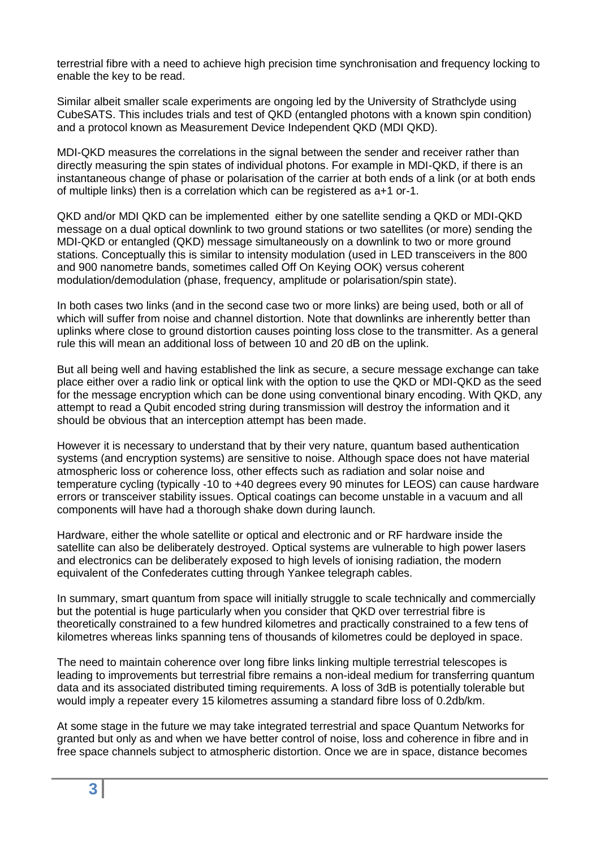terrestrial fibre with a need to achieve high precision time synchronisation and frequency locking to enable the key to be read.

Similar albeit smaller scale experiments are ongoing led by the University of Strathclyde using CubeSATS. This includes trials and test of QKD (entangled photons with a known spin condition) and a protocol known as Measurement Device Independent QKD (MDI QKD).

MDI-QKD measures the correlations in the signal between the sender and receiver rather than directly measuring the spin states of individual photons. For example in MDI-QKD, if there is an instantaneous change of phase or polarisation of the carrier at both ends of a link (or at both ends of multiple links) then is a correlation which can be registered as a+1 or-1.

QKD and/or MDI QKD can be implemented either by one satellite sending a QKD or MDI-QKD message on a dual optical downlink to two ground stations or two satellites (or more) sending the MDI-QKD or entangled (QKD) message simultaneously on a downlink to two or more ground stations. Conceptually this is similar to intensity modulation (used in LED transceivers in the 800 and 900 nanometre bands, sometimes called Off On Keying OOK) versus coherent modulation/demodulation (phase, frequency, amplitude or polarisation/spin state).

In both cases two links (and in the second case two or more links) are being used, both or all of which will suffer from noise and channel distortion. Note that downlinks are inherently better than uplinks where close to ground distortion causes pointing loss close to the transmitter. As a general rule this will mean an additional loss of between 10 and 20 dB on the uplink.

But all being well and having established the link as secure, a secure message exchange can take place either over a radio link or optical link with the option to use the QKD or MDI-QKD as the seed for the message encryption which can be done using conventional binary encoding. With QKD, any attempt to read a Qubit encoded string during transmission will destroy the information and it should be obvious that an interception attempt has been made.

However it is necessary to understand that by their very nature, quantum based authentication systems (and encryption systems) are sensitive to noise. Although space does not have material atmospheric loss or coherence loss, other effects such as radiation and solar noise and temperature cycling (typically -10 to +40 degrees every 90 minutes for LEOS) can cause hardware errors or transceiver stability issues. Optical coatings can become unstable in a vacuum and all components will have had a thorough shake down during launch.

Hardware, either the whole satellite or optical and electronic and or RF hardware inside the satellite can also be deliberately destroyed. Optical systems are vulnerable to high power lasers and electronics can be deliberately exposed to high levels of ionising radiation, the modern equivalent of the Confederates cutting through Yankee telegraph cables.

In summary, smart quantum from space will initially struggle to scale technically and commercially but the potential is huge particularly when you consider that QKD over terrestrial fibre is theoretically constrained to a few hundred kilometres and practically constrained to a few tens of kilometres whereas links spanning tens of thousands of kilometres could be deployed in space.

The need to maintain coherence over long fibre links linking multiple terrestrial telescopes is leading to improvements but terrestrial fibre remains a non-ideal medium for transferring quantum data and its associated distributed timing requirements. A loss of 3dB is potentially tolerable but would imply a repeater every 15 kilometres assuming a standard fibre loss of 0.2db/km.

At some stage in the future we may take integrated terrestrial and space Quantum Networks for granted but only as and when we have better control of noise, loss and coherence in fibre and in free space channels subject to atmospheric distortion. Once we are in space, distance becomes